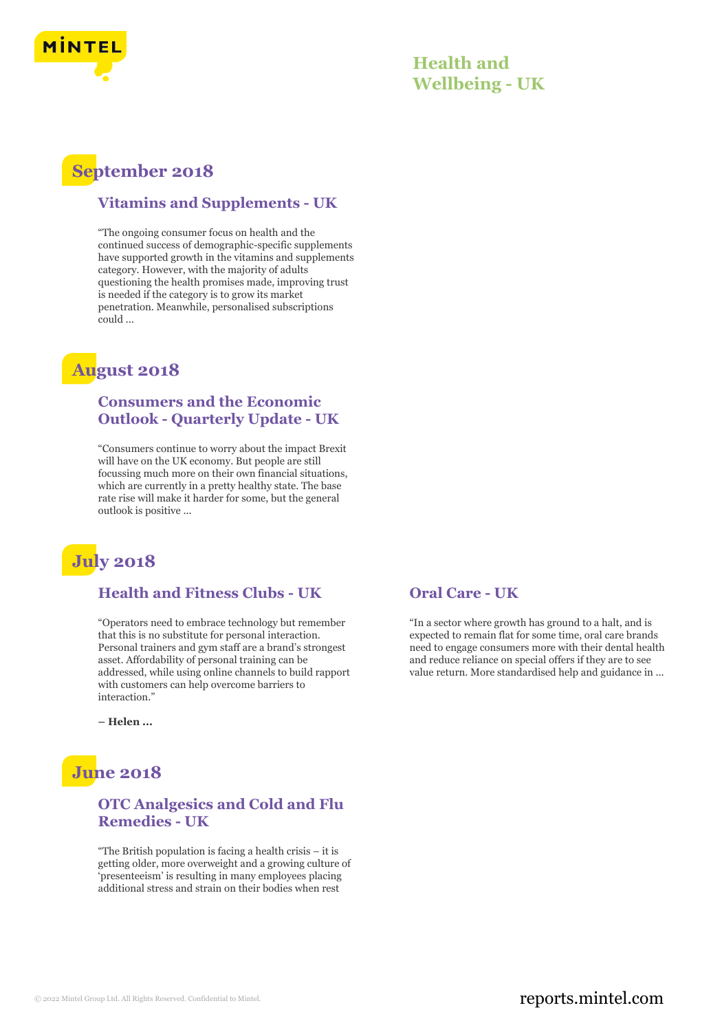

### **Health and Wellbeing - UK**

# **September 2018**

#### **Vitamins and Supplements - UK**

"The ongoing consumer focus on health and the continued success of demographic-specific supplements have supported growth in the vitamins and supplements category. However, with the majority of adults questioning the health promises made, improving trust is needed if the category is to grow its market penetration. Meanwhile, personalised subscriptions could ...

# **August 2018**

#### **Consumers and the Economic Outlook - Quarterly Update - UK**

"Consumers continue to worry about the impact Brexit will have on the UK economy. But people are still focussing much more on their own financial situations, which are currently in a pretty healthy state. The base rate rise will make it harder for some, but the general outlook is positive ...



#### **Health and Fitness Clubs - UK**

"Operators need to embrace technology but remember that this is no substitute for personal interaction. Personal trainers and gym staff are a brand's strongest asset. Affordability of personal training can be addressed, while using online channels to build rapport with customers can help overcome barriers to interaction."

**– Helen ...**

# **June 2018**

#### **OTC Analgesics and Cold and Flu Remedies - UK**

"The British population is facing a health crisis – it is getting older, more overweight and a growing culture of 'presenteeism' is resulting in many employees placing additional stress and strain on their bodies when rest

#### **Oral Care - UK**

"In a sector where growth has ground to a halt, and is expected to remain flat for some time, oral care brands need to engage consumers more with their dental health and reduce reliance on special offers if they are to see value return. More standardised help and guidance in ...